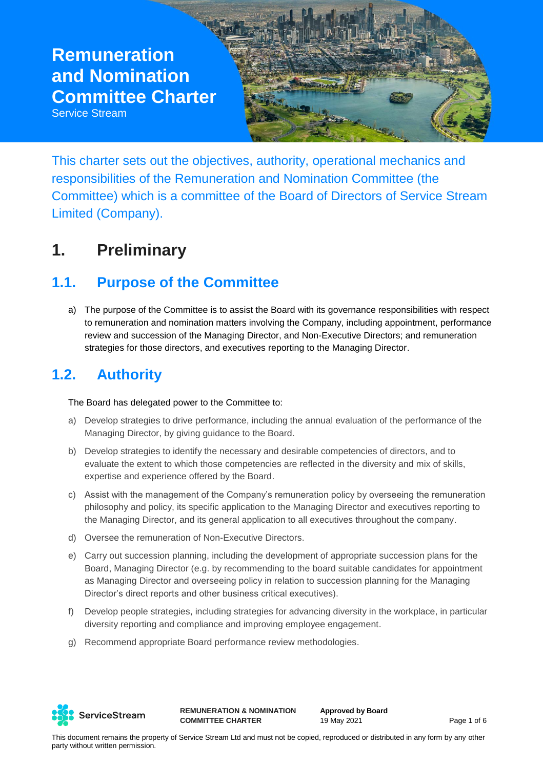Service Stream



This charter sets out the objectives, authority, operational mechanics and responsibilities of the Remuneration and Nomination Committee (the Committee) which is a committee of the Board of Directors of Service Stream Limited (Company).

### **1. Preliminary**

### **1.1. Purpose of the Committee**

a) The purpose of the Committee is to assist the Board with its governance responsibilities with respect to remuneration and nomination matters involving the Company, including appointment, performance review and succession of the Managing Director, and Non-Executive Directors; and remuneration strategies for those directors, and executives reporting to the Managing Director.

### **1.2. Authority**

The Board has delegated power to the Committee to:

- a) Develop strategies to drive performance, including the annual evaluation of the performance of the Managing Director, by giving guidance to the Board.
- b) Develop strategies to identify the necessary and desirable competencies of directors, and to evaluate the extent to which those competencies are reflected in the diversity and mix of skills, expertise and experience offered by the Board.
- c) Assist with the management of the Company's remuneration policy by overseeing the remuneration philosophy and policy, its specific application to the Managing Director and executives reporting to the Managing Director, and its general application to all executives throughout the company.
- d) Oversee the remuneration of Non-Executive Directors.
- e) Carry out succession planning, including the development of appropriate succession plans for the Board, Managing Director (e.g. by recommending to the board suitable candidates for appointment as Managing Director and overseeing policy in relation to succession planning for the Managing Director's direct reports and other business critical executives).
- f) Develop people strategies, including strategies for advancing diversity in the workplace, in particular diversity reporting and compliance and improving employee engagement.
- g) Recommend appropriate Board performance review methodologies.



**REMUNERATION & NOMINATION COMMITTEE CHARTER**

**Approved by Board** 19 May 2021 **Page 1 of 6**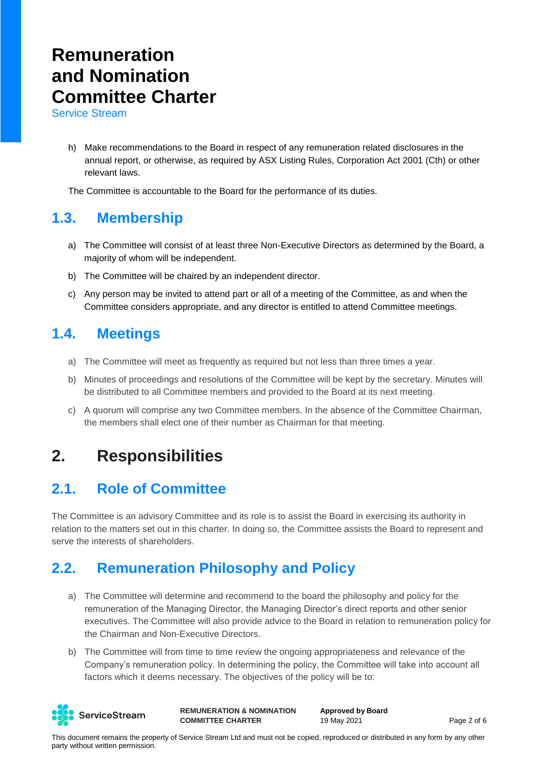Service Stream

h) Make recommendations to the Board in respect of any remuneration related disclosures in the annual report, or otherwise, as required by ASX Listing Rules, Corporation Act 2001 (Cth) or other relevant laws.

The Committee is accountable to the Board for the performance of its duties.

#### **1.3. Membership**

- a) The Committee will consist of at least three Non-Executive Directors as determined by the Board, a majority of whom will be independent.
- b) The Committee will be chaired by an independent director.
- c) Any person may be invited to attend part or all of a meeting of the Committee, as and when the Committee considers appropriate, and any director is entitled to attend Committee meetings.

#### **1.4. Meetings**

- a) The Committee will meet as frequently as required but not less than three times a year.
- b) Minutes of proceedings and resolutions of the Committee will be kept by the secretary. Minutes will be distributed to all Committee members and provided to the Board at its next meeting.
- c) A quorum will comprise any two Committee members. In the absence of the Committee Chairman, the members shall elect one of their number as Chairman for that meeting.

### **2. Responsibilities**

#### **2.1. Role of Committee**

The Committee is an advisory Committee and its role is to assist the Board in exercising its authority in relation to the matters set out in this charter. In doing so, the Committee assists the Board to represent and serve the interests of shareholders.

#### **2.2. Remuneration Philosophy and Policy**

- a) The Committee will determine and recommend to the board the philosophy and policy for the remuneration of the Managing Director, the Managing Director's direct reports and other senior executives. The Committee will also provide advice to the Board in relation to remuneration policy for the Chairman and Non-Executive Directors.
- b) The Committee will from time to time review the ongoing appropriateness and relevance of the Company's remuneration policy. In determining the policy, the Committee will take into account all factors which it deems necessary. The objectives of the policy will be to:



**REMUNERATION & NOMINATION COMMITTEE CHARTER**

**Approved by Board** 19 May 2021 Page 2 of 6

This document remains the property of Service Stream Ltd and must not be copied, reproduced or distributed in any form by any other party without written permission.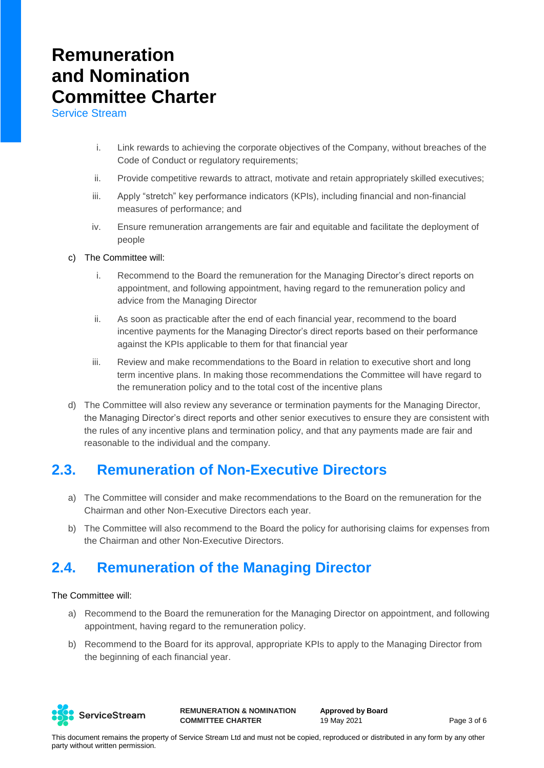Service Stream

- i. Link rewards to achieving the corporate objectives of the Company, without breaches of the Code of Conduct or regulatory requirements;
- ii. Provide competitive rewards to attract, motivate and retain appropriately skilled executives;
- iii. Apply "stretch" key performance indicators (KPIs), including financial and non-financial measures of performance; and
- iv. Ensure remuneration arrangements are fair and equitable and facilitate the deployment of people
- c) The Committee will:
	- i. Recommend to the Board the remuneration for the Managing Director's direct reports on appointment, and following appointment, having regard to the remuneration policy and advice from the Managing Director
	- ii. As soon as practicable after the end of each financial year, recommend to the board incentive payments for the Managing Director's direct reports based on their performance against the KPIs applicable to them for that financial year
	- iii. Review and make recommendations to the Board in relation to executive short and long term incentive plans. In making those recommendations the Committee will have regard to the remuneration policy and to the total cost of the incentive plans
- d) The Committee will also review any severance or termination payments for the Managing Director, the Managing Director's direct reports and other senior executives to ensure they are consistent with the rules of any incentive plans and termination policy, and that any payments made are fair and reasonable to the individual and the company.

#### **2.3. Remuneration of Non-Executive Directors**

- a) The Committee will consider and make recommendations to the Board on the remuneration for the Chairman and other Non-Executive Directors each year.
- b) The Committee will also recommend to the Board the policy for authorising claims for expenses from the Chairman and other Non-Executive Directors.

#### **2.4. Remuneration of the Managing Director**

#### The Committee will:

- a) Recommend to the Board the remuneration for the Managing Director on appointment, and following appointment, having regard to the remuneration policy.
- b) Recommend to the Board for its approval, appropriate KPIs to apply to the Managing Director from the beginning of each financial year.



**REMUNERATION & NOMINATION COMMITTEE CHARTER**

**Approved by Board** 19 May 2021 **Page 3 of 6**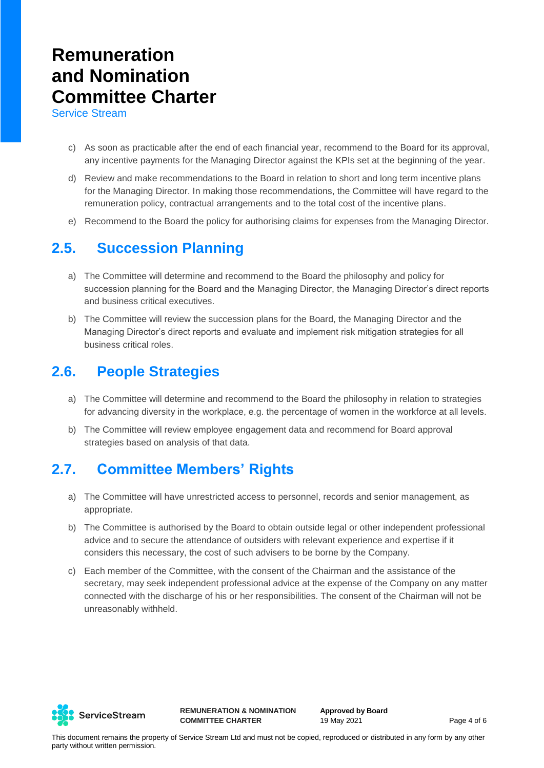Service Stream

- c) As soon as practicable after the end of each financial year, recommend to the Board for its approval, any incentive payments for the Managing Director against the KPIs set at the beginning of the year.
- d) Review and make recommendations to the Board in relation to short and long term incentive plans for the Managing Director. In making those recommendations, the Committee will have regard to the remuneration policy, contractual arrangements and to the total cost of the incentive plans.
- e) Recommend to the Board the policy for authorising claims for expenses from the Managing Director.

#### **2.5. Succession Planning**

- a) The Committee will determine and recommend to the Board the philosophy and policy for succession planning for the Board and the Managing Director, the Managing Director's direct reports and business critical executives.
- b) The Committee will review the succession plans for the Board, the Managing Director and the Managing Director's direct reports and evaluate and implement risk mitigation strategies for all business critical roles.

#### **2.6. People Strategies**

- a) The Committee will determine and recommend to the Board the philosophy in relation to strategies for advancing diversity in the workplace, e.g. the percentage of women in the workforce at all levels.
- b) The Committee will review employee engagement data and recommend for Board approval strategies based on analysis of that data.

#### **2.7. Committee Members' Rights**

- a) The Committee will have unrestricted access to personnel, records and senior management, as appropriate.
- b) The Committee is authorised by the Board to obtain outside legal or other independent professional advice and to secure the attendance of outsiders with relevant experience and expertise if it considers this necessary, the cost of such advisers to be borne by the Company.
- c) Each member of the Committee, with the consent of the Chairman and the assistance of the secretary, may seek independent professional advice at the expense of the Company on any matter connected with the discharge of his or her responsibilities. The consent of the Chairman will not be unreasonably withheld.



**REMUNERATION & NOMINATION COMMITTEE CHARTER**

**Approved by Board** 19 May 2021 **Page 4 of 6**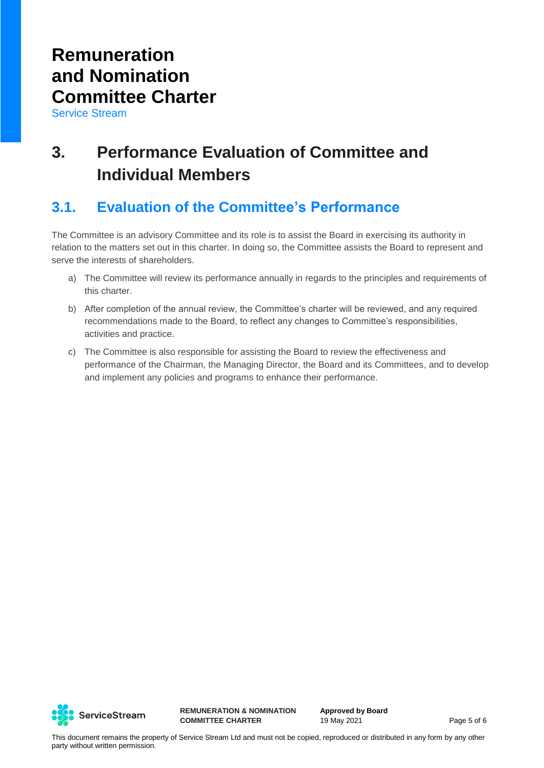Service Stream

### **3. Performance Evaluation of Committee and Individual Members**

#### **3.1. Evaluation of the Committee's Performance**

The Committee is an advisory Committee and its role is to assist the Board in exercising its authority in relation to the matters set out in this charter. In doing so, the Committee assists the Board to represent and serve the interests of shareholders.

- a) The Committee will review its performance annually in regards to the principles and requirements of this charter.
- b) After completion of the annual review, the Committee's charter will be reviewed, and any required recommendations made to the Board, to reflect any changes to Committee's responsibilities, activities and practice.
- c) The Committee is also responsible for assisting the Board to review the effectiveness and performance of the Chairman, the Managing Director, the Board and its Committees, and to develop and implement any policies and programs to enhance their performance.



**REMUNERATION & NOMINATION COMMITTEE CHARTER**

**Approved by Board** 19 May 2021 **Page 5 of 6**